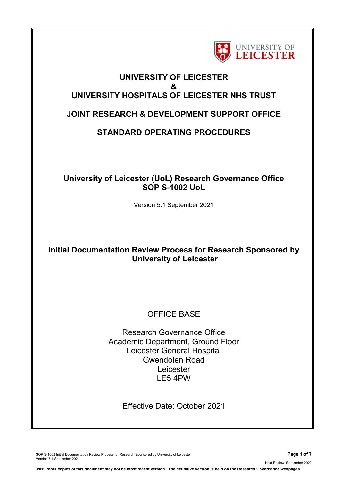

## **UNIVERSITY OF LEICESTER & UNIVERSITY HOSPITALS OF LEICESTER NHS TRUST**

# **JOINT RESEARCH & DEVELOPMENT SUPPORT OFFICE**

# **STANDARD OPERATING PROCEDURES**

## **University of Leicester (UoL) Research Governance Office SOP S-1002 UoL**

Version 5.1 September 2021

## **Initial Documentation Review Process for Research Sponsored by University of Leicester**

# OFFICE BASE

Research Governance Office Academic Department, Ground Floor Leicester General Hospital Gwendolen Road Leicester LE5 4PW

Effective Date: October 2021

SOP S-1002 Initial Documentation Review Process for Research Sponsored by University of Leicester **Page 1 of 7** Version 5.1 September 2021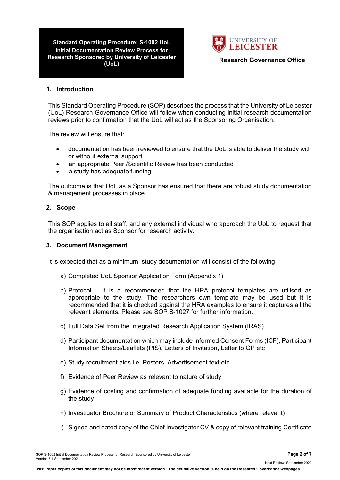**Standard Operating Procedure: S-1002 UoL Initial Documentation Review Process for Research Sponsored by University of Leicester (UoL) Research Governance Office**



#### **1. Introduction**

This Standard Operating Procedure (SOP) describes the process that the University of Leicester (UoL) Research Governance Office will follow when conducting initial research documentation reviews prior to confirmation that the UoL will act as the Sponsoring Organisation.

The review will ensure that:

- documentation has been reviewed to ensure that the UoL is able to deliver the study with or without external support
- an appropriate Peer /Scientific Review has been conducted
- a study has adequate funding

The outcome is that UoL as a Sponsor has ensured that there are robust study documentation & management processes in place.

#### **2. Scope**

This SOP applies to all staff, and any external individual who approach the UoL to request that the organisation act as Sponsor for research activity.

#### **3. Document Management**

It is expected that as a minimum, study documentation will consist of the following:

- a) Completed UoL Sponsor Application Form (Appendix 1)
- b) Protocol it is a recommended that the HRA protocol templates are utilised as appropriate to the study. The researchers own template may be used but it is recommended that it is checked against the HRA examples to ensure it captures all the relevant elements. Please see SOP S-1027 for further information.
- c) Full Data Set from the Integrated Research Application System (IRAS)
- d) Participant documentation which may include Informed Consent Forms (ICF), Participant Information Sheets/Leaflets (PIS), Letters of Invitation, Letter to GP etc
- e) Study recruitment aids i.e. Posters, Advertisement text etc
- f) Evidence of Peer Review as relevant to nature of study
- g) Evidence of costing and confirmation of adequate funding available for the duration of the study
- h) Investigator Brochure or Summary of Product Characteristics (where relevant)
- i) Signed and dated copy of the Chief Investigator CV & copy of relevant training Certificate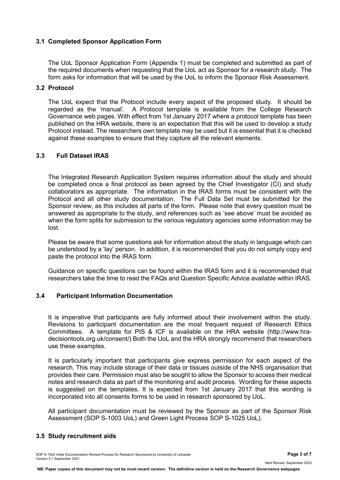## **3.1 Completed Sponsor Application Form**

The UoL Sponsor Application Form (Appendix 1) must be completed and submitted as part of the required documents when requesting that the UoL act as Sponsor for a research study. The form asks for information that will be used by the UoL to inform the Sponsor Risk Assessment.

#### **3.2 Protocol**

The UoL expect that the Protocol include every aspect of the proposed study. It should be regarded as the 'manual'. A Protocol template is available from the College Research Governance web pages. With effect from 1st January 2017 where a protocol template has been published on the HRA website, there is an expectation that this will be used to develop a study Protocol instead. The researchers own template may be used but it is essential that it is checked against these examples to ensure that they capture all the relevant elements.

## **3.3 Full Dataset IRAS**

The Integrated Research Application System requires information about the study and should be completed once a final protocol as been agreed by the Chief Investigator (CI) and study collaborators as appropriate. The information in the IRAS forms must be consistent with the Protocol and all other study documentation. The Full Data Set must be submitted for the Sponsor review, as this includes all parts of the form. Please note that every question must be answered as appropriate to the study, and references such as 'see above' must be avoided as when the form splits for submission to the various regulatory agencies some information may be lost.

Please be aware that some questions ask for information about the study in language which can be understood by a 'lay' person. In addition, it is recommended that you do not simply copy and paste the protocol into the IRAS form.

Guidance on specific questions can be found within the IRAS form and it is recommended that researchers take the time to read the FAQs and Question Specific Advice available within IRAS.

## **3.4 Participant Information Documentation**

It is imperative that participants are fully informed about their involvement within the study. Revisions to participant documentation are the most frequent request of Research Ethics Committees. A template for PIS & ICF is available on the HRA website (http://www.hradecisiontools.org.uk/consent/) Both the UoL and the HRA strongly recommend that researchers use these examples.

It is particularly important that participants give express permission for each aspect of the research. This may include storage of their data or tissues outside of the NHS organisation that provides their care. Permission must also be sought to allow the Sponsor to access their medical notes and research data as part of the monitoring and audit process. Wording for these aspects is suggested on the templates. It is expected from 1st January 2017 that this wording is incorporated into all consents forms to be used in research sponsored by UoL.

All participant documentation must be reviewed by the Sponsor as part of the Sponsor Risk Assessment (SOP S-1003 UoL) and Green Light Process SOP S-1025 UoL).

## **3.5 Study recruitment aids**

SOP S-1002 Initial Documentation Review Process for Research Sponsored by University of Leicester **Page 3 of 7** Version 5.1 September 2021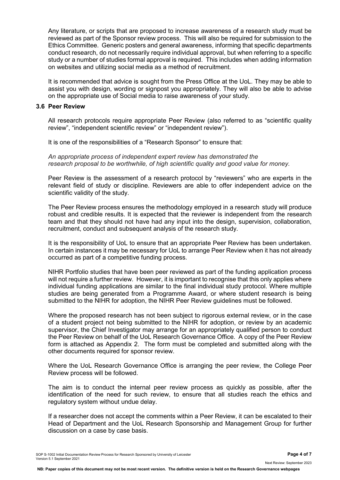Any literature, or scripts that are proposed to increase awareness of a research study must be reviewed as part of the Sponsor review process. This will also be required for submission to the Ethics Committee. Generic posters and general awareness, informing that specific departments conduct research, do not necessarily require individual approval, but when referring to a specific study or a number of studies formal approval is required. This includes when adding information on websites and utilizing social media as a method of recruitment.

It is recommended that advice is sought from the Press Office at the UoL. They may be able to assist you with design, wording or signpost you appropriately. They will also be able to advise on the appropriate use of Social media to raise awareness of your study.

#### **3.6 Peer Review**

All research protocols require appropriate Peer Review (also referred to as "scientific quality review", "independent scientific review" or "independent review").

It is one of the responsibilities of a "Research Sponsor" to ensure that:

*An appropriate process of independent expert review has demonstrated the research proposal to be worthwhile, of high scientific quality and good value for money.*

Peer Review is the assessment of a research protocol by "reviewers" who are experts in the relevant field of study or discipline. Reviewers are able to offer independent advice on the scientific validity of the study.

The Peer Review process ensures the methodology employed in a research study will produce robust and credible results. It is expected that the reviewer is independent from the research team and that they should not have had any input into the design, supervision, collaboration, recruitment, conduct and subsequent analysis of the research study.

It is the responsibility of UoL to ensure that an appropriate Peer Review has been undertaken. In certain instances it may be necessary for UoL to arrange Peer Review when it has not already occurred as part of a competitive funding process.

NIHR Portfolio studies that have been peer reviewed as part of the funding application process will not require a further review. However, it is important to recognise that this only applies where individual funding applications are similar to the final individual study protocol. Where multiple studies are being generated from a Programme Award, or where student research is being submitted to the NIHR for adoption, the NIHR Peer Review guidelines must be followed.

Where the proposed research has not been subject to rigorous external review, or in the case of a student project not being submitted to the NIHR for adoption, or review by an academic supervisor, the Chief Investigator may arrange for an appropriately qualified person to conduct the Peer Review on behalf of the UoL Research Governance Office. A copy of the Peer Review form is attached as Appendix 2. The form must be completed and submitted along with the other documents required for sponsor review.

Where the UoL Research Governance Office is arranging the peer review, the College Peer Review process will be followed.

The aim is to conduct the internal peer review process as quickly as possible, after the identification of the need for such review, to ensure that all studies reach the ethics and regulatory system without undue delay.

If a researcher does not accept the comments within a Peer Review, it can be escalated to their Head of Department and the UoL Research Sponsorship and Management Group for further discussion on a case by case basis.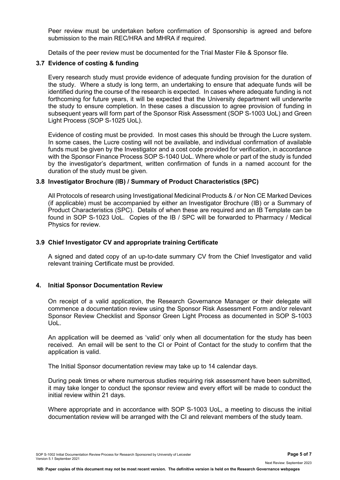Peer review must be undertaken before confirmation of Sponsorship is agreed and before submission to the main REC/HRA and MHRA if required.

Details of the peer review must be documented for the Trial Master File & Sponsor file.

## **3.7 Evidence of costing & funding**

Every research study must provide evidence of adequate funding provision for the duration of the study. Where a study is long term, an undertaking to ensure that adequate funds will be identified during the course of the research is expected. In cases where adequate funding is not forthcoming for future years, it will be expected that the University department will underwrite the study to ensure completion. In these cases a discussion to agree provision of funding in subsequent years will form part of the Sponsor Risk Assessment (SOP S-1003 UoL) and Green Light Process (SOP S-1025 UoL).

Evidence of costing must be provided. In most cases this should be through the Lucre system. In some cases, the Lucre costing will not be available, and individual confirmation of available funds must be given by the Investigator and a cost code provided for verification, in accordance with the Sponsor Finance Process SOP S-1040 UoL. Where whole or part of the study is funded by the investigator's department, written confirmation of funds in a named account for the duration of the study must be given.

## **3.8 Investigator Brochure (IB) / Summary of Product Characteristics (SPC)**

All Protocols of research using Investigational Medicinal Products & / or Non CE Marked Devices (if applicable) must be accompanied by either an Investigator Brochure (IB) or a Summary of Product Characteristics (SPC). Details of when these are required and an IB Template can be found in SOP S-1023 UoL. Copies of the IB / SPC will be forwarded to Pharmacy / Medical Physics for review.

### **3.9 Chief Investigator CV and appropriate training Certificate**

A signed and dated copy of an up-to-date summary CV from the Chief Investigator and valid relevant training Certificate must be provided.

#### **4. Initial Sponsor Documentation Review**

On receipt of a valid application, the Research Governance Manager or their delegate will commence a documentation review using the Sponsor Risk Assessment Form and/or relevant Sponsor Review Checklist and Sponsor Green Light Process as documented in SOP S-1003 UoL.

An application will be deemed as 'valid' only when all documentation for the study has been received. An email will be sent to the CI or Point of Contact for the study to confirm that the application is valid.

The Initial Sponsor documentation review may take up to 14 calendar days.

During peak times or where numerous studies requiring risk assessment have been submitted, it may take longer to conduct the sponsor review and every effort will be made to conduct the initial review within 21 days.

Where appropriate and in accordance with SOP S-1003 UoL, a meeting to discuss the initial documentation review will be arranged with the CI and relevant members of the study team.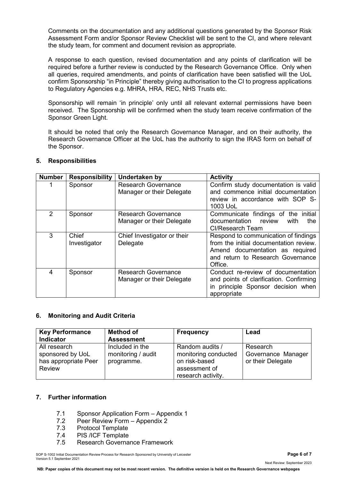Comments on the documentation and any additional questions generated by the Sponsor Risk Assessment Form and/or Sponsor Review Checklist will be sent to the CI, and where relevant the study team, for comment and document revision as appropriate.

A response to each question, revised documentation and any points of clarification will be required before a further review is conducted by the Research Governance Office. Only when all queries, required amendments, and points of clarification have been satisfied will the UoL confirm Sponsorship "in Principle" thereby giving authorisation to the CI to progress applications to Regulatory Agencies e.g. MHRA, HRA, REC, NHS Trusts etc.

Sponsorship will remain 'in principle' only until all relevant external permissions have been received. The Sponsorship will be confirmed when the study team receive confirmation of the Sponsor Green Light.

It should be noted that only the Research Governance Manager, and on their authority, the Research Governance Officer at the UoL has the authority to sign the IRAS form on behalf of the Sponsor.

| <b>Number</b> | <b>Responsibility</b> | <b>Undertaken by</b>                                    | <b>Activity</b>                                                                                                                                                   |
|---------------|-----------------------|---------------------------------------------------------|-------------------------------------------------------------------------------------------------------------------------------------------------------------------|
|               | Sponsor               | <b>Research Governance</b><br>Manager or their Delegate | Confirm study documentation is valid<br>and commence initial documentation<br>review in accordance with SOP S-<br>1003 UoL                                        |
| $\mathcal{P}$ | Sponsor               | <b>Research Governance</b><br>Manager or their Delegate | Communicate findings of the initial<br>documentation review<br>with<br>the<br>Cl/Research Team                                                                    |
| 3             | Chief<br>Investigator | Chief Investigator or their<br>Delegate                 | Respond to communication of findings<br>from the initial documentation review.<br>Amend documentation as required<br>and return to Research Governance<br>Office. |
| 4             | Sponsor               | <b>Research Governance</b><br>Manager or their Delegate | Conduct re-review of documentation<br>and points of clarification. Confirming<br>in principle Sponsor decision when<br>appropriate                                |

## **5. Responsibilities**

## **6. Monitoring and Audit Criteria**

| <b>Key Performance</b><br>Indicator                                       | <b>Method of</b><br><b>Assessment</b>               | <b>Frequency</b>                                                                                | Lead                                                |
|---------------------------------------------------------------------------|-----------------------------------------------------|-------------------------------------------------------------------------------------------------|-----------------------------------------------------|
| All research<br>sponsored by UoL<br>has appropriate Peer<br><b>Review</b> | Included in the<br>monitoring / audit<br>programme. | Random audits /<br>monitoring conducted<br>on risk-based<br>assessment of<br>research activity. | Research<br>Governance Manager<br>or their Delegate |

## **7. Further information**

- 7.1 Sponsor Application Form Appendix 1<br>7.2 Peer Review Form Appendix 2
- 7.2 Peer Review Form Appendix 2<br>7.3 Protocol Template
- Protocol Template
- 7.4 PIS /ICF Template
- 7.5 Research Governance Framework

SOP S-1002 Initial Documentation Review Process for Research Sponsored by University of Leicester **Page 6 of 7** Version 5.1 September 2021